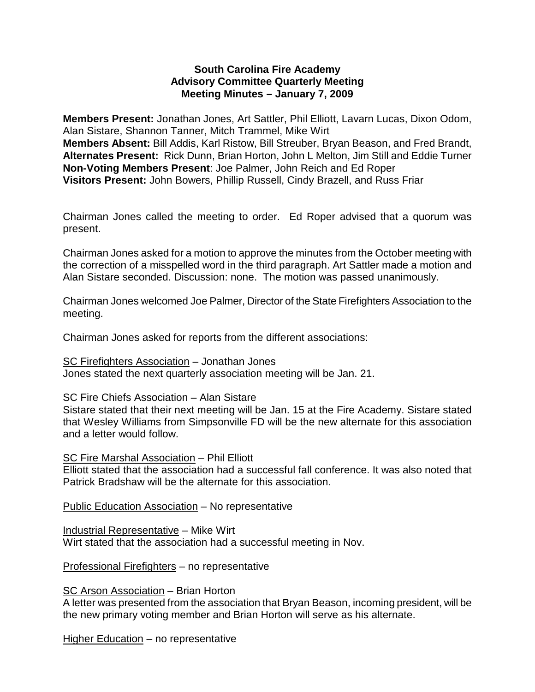## **South Carolina Fire Academy Advisory Committee Quarterly Meeting Meeting Minutes – January 7, 2009**

**Members Present:** Jonathan Jones, Art Sattler, Phil Elliott, Lavarn Lucas, Dixon Odom, Alan Sistare, Shannon Tanner, Mitch Trammel, Mike Wirt **Members Absent:** Bill Addis, Karl Ristow, Bill Streuber, Bryan Beason, and Fred Brandt, **Alternates Present:** Rick Dunn, Brian Horton, John L Melton, Jim Still and Eddie Turner **Non-Voting Members Present**: Joe Palmer, John Reich and Ed Roper **Visitors Present:** John Bowers, Phillip Russell, Cindy Brazell, and Russ Friar

Chairman Jones called the meeting to order. Ed Roper advised that a quorum was present.

Chairman Jones asked for a motion to approve the minutes from the October meeting with the correction of a misspelled word in the third paragraph. Art Sattler made a motion and Alan Sistare seconded. Discussion: none. The motion was passed unanimously.

Chairman Jones welcomed Joe Palmer, Director of the State Firefighters Association to the meeting.

Chairman Jones asked for reports from the different associations:

SC Firefighters Association – Jonathan Jones

Jones stated the next quarterly association meeting will be Jan. 21.

## SC Fire Chiefs Association – Alan Sistare

Sistare stated that their next meeting will be Jan. 15 at the Fire Academy. Sistare stated that Wesley Williams from Simpsonville FD will be the new alternate for this association and a letter would follow.

#### SC Fire Marshal Association – Phil Elliott

Elliott stated that the association had a successful fall conference. It was also noted that Patrick Bradshaw will be the alternate for this association.

Public Education Association – No representative

Industrial Representative – Mike Wirt

Wirt stated that the association had a successful meeting in Nov.

Professional Firefighters – no representative

SC Arson Association – Brian Horton

A letter was presented from the association that Bryan Beason, incoming president, will be the new primary voting member and Brian Horton will serve as his alternate.

Higher Education – no representative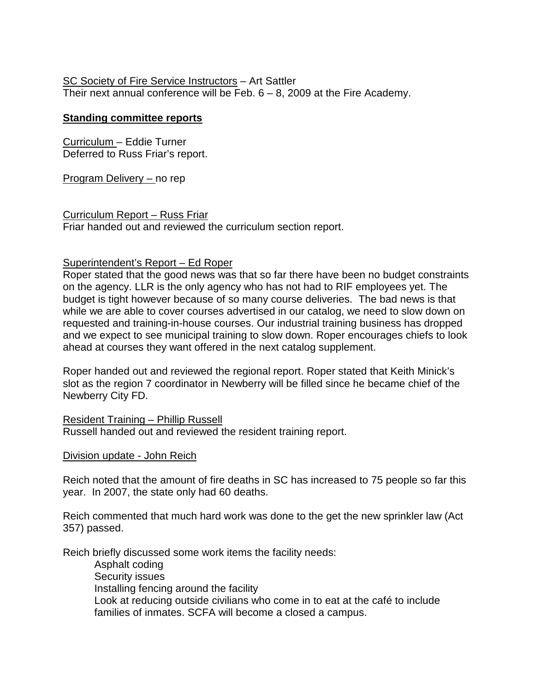# SC Society of Fire Service Instructors – Art Sattler

Their next annual conference will be Feb.  $6 - 8$ , 2009 at the Fire Academy.

# **Standing committee reports**

Curriculum – Eddie Turner Deferred to Russ Friar's report.

Program Delivery – no rep

Curriculum Report – Russ Friar Friar handed out and reviewed the curriculum section report.

# Superintendent's Report – Ed Roper

Roper stated that the good news was that so far there have been no budget constraints on the agency. LLR is the only agency who has not had to RIF employees yet. The budget is tight however because of so many course deliveries. The bad news is that while we are able to cover courses advertised in our catalog, we need to slow down on requested and training-in-house courses. Our industrial training business has dropped and we expect to see municipal training to slow down. Roper encourages chiefs to look ahead at courses they want offered in the next catalog supplement.

Roper handed out and reviewed the regional report. Roper stated that Keith Minick's slot as the region 7 coordinator in Newberry will be filled since he became chief of the Newberry City FD.

Resident Training – Phillip Russell Russell handed out and reviewed the resident training report.

# Division update - John Reich

Reich noted that the amount of fire deaths in SC has increased to 75 people so far this year. In 2007, the state only had 60 deaths.

Reich commented that much hard work was done to the get the new sprinkler law (Act 357) passed.

Reich briefly discussed some work items the facility needs:

Asphalt coding Security issues Installing fencing around the facility Look at reducing outside civilians who come in to eat at the café to include families of inmates. SCFA will become a closed a campus.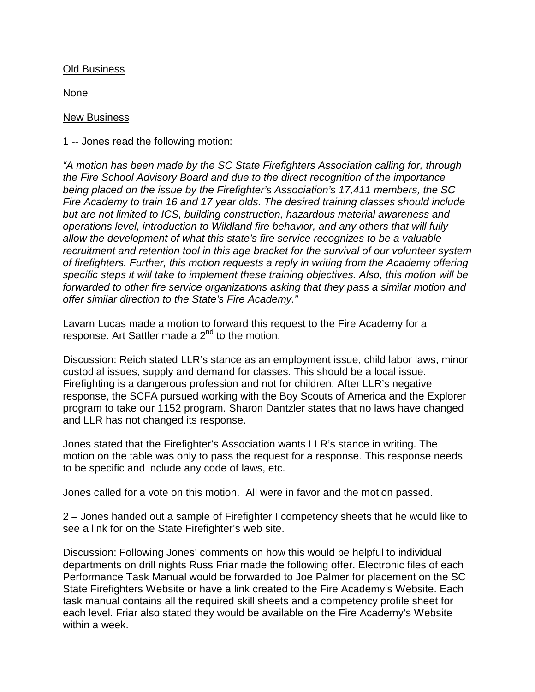## Old Business

None

#### New Business

1 -- Jones read the following motion:

*"A motion has been made by the SC State Firefighters Association calling for, through the Fire School Advisory Board and due to the direct recognition of the importance being placed on the issue by the Firefighter's Association's 17,411 members, the SC Fire Academy to train 16 and 17 year olds. The desired training classes should include but are not limited to ICS, building construction, hazardous material awareness and operations level, introduction to Wildland fire behavior, and any others that will fully allow the development of what this state's fire service recognizes to be a valuable recruitment and retention tool in this age bracket for the survival of our volunteer system of firefighters. Further, this motion requests a reply in writing from the Academy offering specific steps it will take to implement these training objectives. Also, this motion will be forwarded to other fire service organizations asking that they pass a similar motion and offer similar direction to the State's Fire Academy."*

Lavarn Lucas made a motion to forward this request to the Fire Academy for a response. Art Sattler made a  $2^{nd}$  to the motion.

Discussion: Reich stated LLR's stance as an employment issue, child labor laws, minor custodial issues, supply and demand for classes. This should be a local issue. Firefighting is a dangerous profession and not for children. After LLR's negative response, the SCFA pursued working with the Boy Scouts of America and the Explorer program to take our 1152 program. Sharon Dantzler states that no laws have changed and LLR has not changed its response.

Jones stated that the Firefighter's Association wants LLR's stance in writing. The motion on the table was only to pass the request for a response. This response needs to be specific and include any code of laws, etc.

Jones called for a vote on this motion. All were in favor and the motion passed.

2 – Jones handed out a sample of Firefighter I competency sheets that he would like to see a link for on the State Firefighter's web site.

Discussion: Following Jones' comments on how this would be helpful to individual departments on drill nights Russ Friar made the following offer. Electronic files of each Performance Task Manual would be forwarded to Joe Palmer for placement on the SC State Firefighters Website or have a link created to the Fire Academy's Website. Each task manual contains all the required skill sheets and a competency profile sheet for each level. Friar also stated they would be available on the Fire Academy's Website within a week.